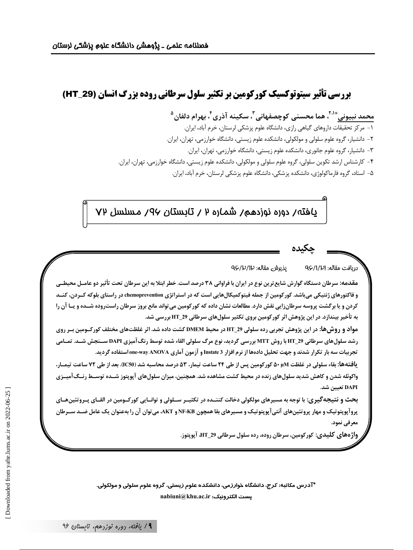# **بررسی تأثیر سیتوتوکسیک کورکومین بر تکثیر سلول سرطانی روده بزرگ انسان (29\_HT)**

محمد نبيوني \*'''، هما محسني كوچصفهاني <sup>٬</sup>، سكينه آذري ٔ ، بهرام دلفان <sup>۵</sup> ۱- مرکز تحقیقات داروهای گیاهی رازی، دانشگاه علوم پزشکی لرستان، خرم آباد، ایران. ۲- دانشیار، گروه علوم سلولی و مولکولی، دانشکده علوم زیستی، دانشگاه خوارزمی، تهران، ایران. ۳- دانشیار، گروه علوم جانوری، دانشکده علوم زیستی، دانشگاه خوارزمی، تهران، ایران. ۴- کارشناس ارشد تکوین سلولی، گروه علوم سلولی و مولکولی، دانشکده علوم زیستی، دانشگاه خوارزمی، تهران، ایران. ۵- استاد، گروه فارماکولوژی، دانشکده پزشکی، دانشگاه علوم پزشکی لرستان، خرم آباد، ایران.

يافته/ دوره نوزدهم/ شماره ٢ / تابستان ٩٧/ مسلسل ٧٧

#### يذيرش مقاله: ٩۶/٣/١٧ دريافت مقاله: الـ9۶/۱/Pl

مقدمه: سرطان دستگاه گوارش شایع ترین نوع در ایران با فراوانی ۳۸ درصد است. خطر ابتلا به این سرطان تحت تأثیر دو عامــل محیطــی و فاکتورهای ژنتیکی میباشد. کورکومین از جمله فیتوکمیکالهایی است که در استراتژی chemoprevention در راستای بلوکه کـردن، کنــد کردن و یا برگشت پروسه سرطانزایی نقش دارد. مطالعات نشان داده که کورکومین می تواند مانع بروز سرطان راستروده شــده و یــا آن را به تأخیر بیندازد. در این پژوهش اثر کورکومین بروی تکثیر سلولهای سرطانی 29\_HT بررسی شد.

مواد و روش ها: در این پژوهش تجربی رده سلولی 29\_HT در محیط DMEM کشت داده شد. اثر غلظتهای مختلف کورکـومین بـر روی رشد سلولهای سرطانی 29\_HT با روش MTT بررسی گردید، نوع مرگ سلولی القاء شده توسط رنگ آمیزی DAPI ســنجش شــد. تمــامی تجربیات سه بار تکرار شدند و جهت تحلیل دادهها از نرم افزار Instate 3 و آزمون آماری one-way ANOVA استفاده گردید.

یافتهها: بقاء سلولی در غلظت Δ٠ μM کورکومین پس از طی ۲۴ ساعت تیمار، ۵۳ درصد محاسبه شد (IC50). بعد از طی ۷۲ ساعت تیمـار، واکوئله شدن و کاهش شدید سلولهای زنده در محیط کشت مشاهده شد. همچنین، میزان سلولهای آپوپتوز شــده توســط رنــگ]میــزی DAPI تعیین شد.

بحث و نتیجهگیری: با توجه به مسیرهای مولکولی دخالت کننــده در تکثیــر ســلولی و توانــایی کورکــومین در القــای پــروتئینهــای پروآپوپتوتیک و مهار پروتئینهای آنتیآپوپتوتیک و مسیرهای بقا همچون NF-KB و AKT می توان آن را بهعنوان یک عامل ضـد ســرطان معرفي نمود.

واژههای کلیدی: کورکومین، سرطان روده، رده سلول سرطانی 29\_HT، آپوپتوز.

\*آدرس مکاتبه: کرج، دانشگاه خوارزمی، دانشکده علوم زیستی، گروه علوم سلولی و مولکولی. nabiuni@khu.ac.ir :يست الكترونيك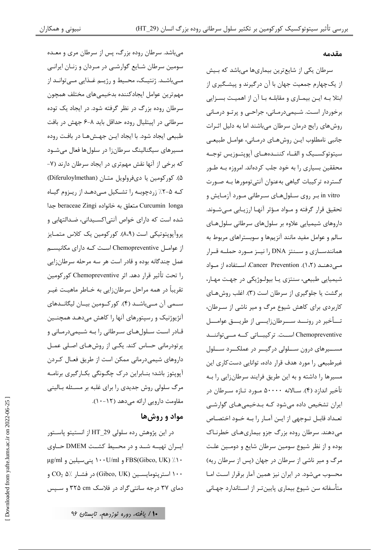#### مقدمه

سرطان یکی از شایعترین بیماریها می باشد که بـیش از یک چهارم جمعیت جهان با آن درگیرند و پیشـگیری از ابتلا بـه ايـن بيمـاري و مقابلـه بـا آن از اهميـت بسـزايي برخوردار است. شیمیدرمانی، جراحی و پرتو درمانی روشهای رایج درمان سرطان میباشند اما به دلیل اثـرات جانبي نامطلوب ايـن روشهـاي درمـاني، عوامـل طبيعـي سيتوتوكســيک و القــاء کننــدەهــاي آيويتــوزيس توجــه محققین بسیاری را به خود جلب کردهاند. امروزه بــه طــور گسترده ترکیبات گیاهی بهعنوان آنتیتومورها بـه صـورت in vitro بر روی سلولهای سرطانی مورد آزمایش و تحقیق قرار گرفته و مـواد مـؤثر آنهـا ارزیـابی مـی شـوند. داروهای شیمیایی علاوه بر سلولهای سرطانی سلولهـای سالم و عوامل مفید مانند آنزیمها و سوبستراهای مربوط به همانندسـازی و ســنتز DNA را نیــز مــورد حملــه قــرار مے ردھنـد (۱،۲). Cancer Prevention، اسـتفاده از مـواد شیمیایی طبیعی، سنتزی یـا بیولـوژیکی در جهـت مهـار، برگشت یا جلوگیری از سرطان است (۳). اغلب روشهای کاربردی برای کاهش شیوع مرگ و میر ناشی از سـرطان، تـــأخير در رونـــد ســـرطان;ايـــي از طريـــق عوامـــل Chemopreventive است. ترکیباتی که میتوانند مســـیرهای درون ســـلولی درگیـــر در عملکـــرد ســـلول غیرطبیعی را مورد هدف قرار داده، توانایی دست کاری این مسیرها را داشته و به این طریق فرایند سرطانزایی را بـه تأخير اندازد (۴). ســالانه ۵۰۰۰۰ مـورد تــازه ســرطان در ایران تشخیص داده می شود کـه بـدخیمی هـای گوارشـی تعـداد قابـل تـوجهي از ايـن آمـار را بـه خـود اختصـاص می دهند. سرطان روده بزرگ جزو بیماری هـای خطرنـاک بوده و از نظر شیوع سومین سرطان شایع و دومـین علـت مرگ و میر ناشی از سرطان در جهان (پس از سرطان ریه) محسوب می شود. در ایران نیز همین آمار برقرار است امـا متأسفانه سن شيوع بيماري پايينتـر از اســتاندارد جهــاني

می باشد. سرطان روده بزرگ، پس از سرطان مری و معـده سومین سرطان شـایع گوارشـی در مـردان و زنـان ایرانـی مےباشــد. ژنتیــک، محــیط و رژیــم غــذایی مــیتوانــد از مهم ترين عوامل ايجادكننده بدخيمي هاي مختلف همچون سرطان روده بزرگ در نظر گرفته شود. در ایجاد یک توده سرطانی در اپیتلیال روده حداقل باید ٨-۶ جهش در بافت طبیعی ایجاد شود. با ایجاد ایـن جهـشهـا در بافـت روده مسیرهای سیگنالینگ سرطانزا در سلولها فعال میشود که برخی از آنها نقش مهمتری در ایجاد سرطان دارند (۷-۵). کور کومین یا دیفرولویل متـان (Diferuloylmethan) کـه ۵-۲٪ زردچوبـه را تشـکیل مـیدهـد از ریـزوم گیـاه Curcumin longa متعلق به خانواده beraceae Zingi جدا شده است که دارای خواص آنتی|کسـیدانی، ضـدالتهابی و پروآپوپتوتیکی است (۸،۹). کورکومین یک کلاس متمـایز از عوامـل Chemopreventive اسـت كـه داراي مكانيسـم عمل چندگانه بوده و قادر است هر سه مرحله سرطانزایی را تحت تأثير قرار دهد. اثر Chemopreventive كوركومين تقریباً در همه مراحل سرطانزایی به خـاطر ماهیـت غیـر سـمی آن مــیباشــد (۴). کورکــومین بیــان لیگانــدهای آنژیوژنیک و رسپتورهای آنها را کاهش میدهـد همچنــین قـادر اسـت سـلولهـاي سـرطاني را بـه شـيميدرمـاني و پرتودرمانی حساس کند. یکی از روشهای اصلی عمل داروهای شیمیدرمانی ممکن است از طریق فعـال کـردن آپوپتوز باشد؛ بنــابراين درک چگــونگي بکــارگيري برنامــه مرگ سلولی روش جدیدی را برای غلبه بر مسئله بـالینی مقاومت دارويي ارائه مي دهد (١٢-١٠).

## مواد و روش ها

در این پژوهش رده سلولی HT\_29 از انستیتو پاســتور ایسران تهیسه شسد و در محسیط کشست DMEM حساوی  $\mu$ g/ml و ۱۰۰U/ml و FBS(Gibco, UK) ٪۱۰ استریتومایسیین (Gibco, UK) در فشـار ۵/. (CO2 ۵ دمای ۳۷ درجه سانتیگراد در فلاسک ۳۲۵ cm و سـپس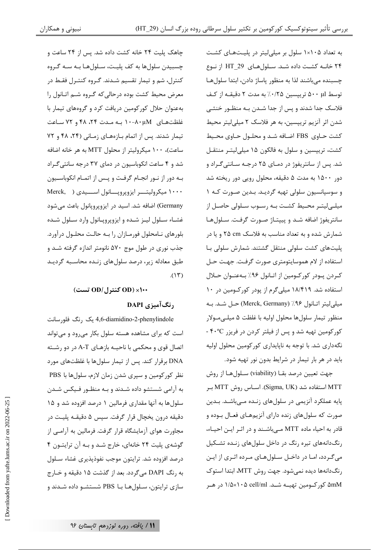چاهک پلیت ۲۴ خانه کشت داده شد. پس از ۲۴ ساعت و چسبیدن سلولها به کف پلیت، سلولها بـه سـه گـروه کنترل، شم و تیمار تقسیم شـدند. گـروه کنتـرل فقـط در معرض محیط کشت بوده درحالی که گـروه شـم اتـانول را بهعنوان حلال کورکومین دریافت کرد و گروههای تیمار با غلظتهای A۰-۸۰μMبه مدت ۲۴، ۴۸ و ۷۲ ساعت تیمار شدند. پس از اتمام بازههای زمانی (۲۴، ۴۸ و ۷۲ ساعت)، ۱۰۰ میکرولیتر از محلول MTT به هر خانه اضافه شد و ۴ ساعت انکوباسیون در دمای ۳۷ درجه سانتی گراد بـه دور از نـور انجـام گرفـت و پـس از اتمـام انكوباسـيون ۱۰۰۰ میکرولیتـــر ایزویرویـــانول اســـیدی ( Merck, Germany) اضافه شد. اسید در ایزوپروپانول باعث می شود غشـاء سـلول ليـز شـده و ايزوپروپـانول وارد سـلول شـده بلورهای نـامحلول فورمـازان را بـه حالـت محلـول درآورد. جذب نوري در طول موج ۵۷۰ نانومتر اندازه گرفته شـد و طبق معادله زیر، درصد سلول های زنـده محاسـبه گردیـد  $(11)$ 

### **0D) × + (OD) كنترل OD/** تست)

#### رنگ آميزي DAPI

4,6-diamidino-2-phenylindole یک , نگ فلو, سانت است که برای مشاهده هسته سلول بکار می رود و می تواند اتصال قوی و محکمی با ناحیــه بازهـای A-T در دو رشــته DNA برقرار کند. پس از تیمار سلولها با غلظتهای مورد نظر کورکومین و سیری شدن زمان لازم، سلولها با PBS به آرامی شستشو داده شـدند و بـه منظـور فـیکس شـدن سلول ها به آنها مقداری فرمالین ۱ درصد افزوده شد و ۱۵ دقیقه درون یخچال قرار گرفت. سپس ۵ دقیقـه پلیـت در مجاورت هوای آزمایشگاه قرار گرفت. فرمالین به آرامـی از گوشهی پلیت ۲۴ خانهای، خارج شد و بـه آن ترایتـون ۴ درصد افزوده شد. ترايتون موجب نفوذپذيري غشاء سـلول به رنگ DAPI میگردد. بعد از گذشت ۱۵ دقیقه و خـارج سازی ترایتون، سلولها بـا PBS شستشـو داده شـدند و

به تعداد ۱×۱×۱ سلول بر میلی لیتر در پلیـتهـای کشـت ۲۴ خانـه کشـت داده شـد. سـلولهـای HT\_29 از نـوع چسبنده میباشند لذا به منظور پاساژ دادن، ابتدا سلولهـا توسط α٠٠ µl تریپسین ۰/۲۵٪ به مدت ۲ دقیقـه از کـف فلاسک جدا شدند و پس از جدا شـدن بـه منظـور خنثـی شدن اثر آنزیم تریپسین، به هر فلاسک ۲ میلیلیتر محیط کشت حـاوی FBS اضـافه شـد و محلـول حـاوی محـيط کشت، تریپسین و سلول به فالکون ۱۵ میلی لیتـر منتقـل شد. پس از سانتریفوژ در دمـای ۲۵ درجـه سـانتیگـراد و دور ۱۵۰۰ به مدت ۵ دقیقه، محلول رویی دور ریخته شد و سوسپانسیون سلولی تهیه گردیـد. بـدین صـورت کـه ۱ میلے لیتـر محـیط کشـت بـه رسـوب سـلولی حاصـل از سانتریفوژ اضافه شـد و پیپتـاژ صـورت گرفـت. سـلولهـا شمارش شده و به تعداد مناسب به فلاسک ۲۵ cm و یا در یلیتهای کشت سلولی منتقل گشتند. شمارش سلولی با استفاده از لام هموسایتومتری صورت گرفت. جهت حـل كـردن پــودر كوركــومين از اتــانول ۹۶٪ بــهعنــوان حــلال استفاده شد. ۱۸/۴۱۹ میلیگرم از پودر کورکومین در ۱۰ ميلي ليتر اتـانول Merck, Germany) / مـل شـد. بـه منظور تيمار سلولها محلول اوليه با غلظت ۵ ميلـي مــولار کورکومین تهیه شد و پس از فیلتر کردن در فریزر ۴۰°C -نگهداری شد. با توجه به ناپایداری کورکومین محلول اولیه باید در هر بار تیمار در شرایط بدون نور تهیه شود.

جهت تعيين درصد بقــا (viability) ســلولهــا از روش MTT استفاده شد (Sigma, UK). اسـاس روش MTT بـر پایه عملکرد آنزیمی در سلولهای زنـده مـیباشـد. بـدین صورت که سلولهای زنده دارای آنزیمهای فعـال بـوده و قادر به احیاء ماده MTT مهابشند و در اثر این احیاء، رنگ دانههای تیره رنگ در داخل سلول های زنـده تشـکیل می گـردد، امـا در داخـل سـلولهـای مـرده اثـری از ایـن رنگ دانهها دیده نمی شود. جهت روش MTT، ابتدا استوک ۵mM کور کــومین تهیــه شــد. ۱/۵×۱۰۵ cell/ml در هــر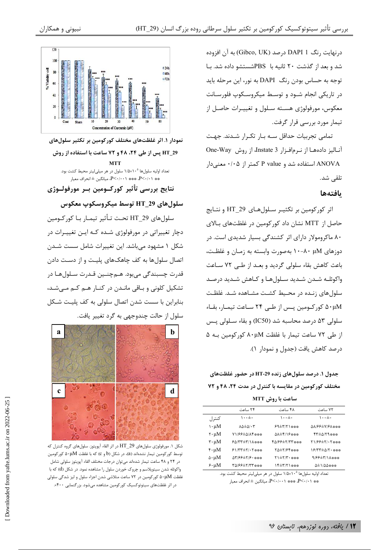درنهایت , نگ DAPI 1 درصد (Gibco, UK) به آن افزوده شد و بعد از گذشت ۲۰ ثانیه با PBSشستشو داده شد. با توجه به حساس بودن رنگ DAPI به نور، این مرحله باید در تاریکی انجام شـود و توسـط میکروسـکوپ فلورسـانت معکوس، مورفولوژی هسـته سـلول و تغییـرات حاصـل از تیمار مورد بررسی قرار گرفت.

تمامی تجربیات حداقل سـه بـار تكـرار شـدند. جهـت آنــاليز دادههــا از نــرمافــزار Instate 3، از روش One-Way ANOVA استفاده شد و P value كمتر از ۰/۰۵ معنى دار تلقى شد.

#### بافتهها

اثر کورکومین بر تکثیـر سـلولهـای HT\_29 و نتـایج حاصل از MTT نشان داد کور کومین در غلظتهای بـالای ۸۰ ماکرومولار دارای اثر کشندگی بسیار شدیدی است. در دوزهای A۰ μM−۱۰ به صورت وابسته به زمـان و غلظـت، باعث كاهش بقاء سلولى گرديد و بعـد از طـى ٧٢ سـاعت واکوئلـه شـدن شـدید سـلولهـا و کـاهش شـدید درصـد سلول های زنده در محیط کشت مشاهده شد. غلظت ۵۰μM کور کـومین پـس از طـی ۲۴ سـاعت تیمـار، بقـاء سلولي ۵۳ درصد محاسبه شد (IC50) و بقاء سـلولي پـس از طی ۷۲ ساعت تیمار با غلظت ۸۰μM کورکومین بـه ۵ درصد كاهش يافت (جدول و نمودار ١).

جدول ۱. درصد سلولهای زنده HT-29 در حضور غلظتهای مختلف کورکومین در مقایسه با کنترل در مدت ۲۴، ۴۸ و ۷۲ ساعت با روش MTT

| ---- <i>----</i> --             |                                       |                    |                      |
|---------------------------------|---------------------------------------|--------------------|----------------------|
|                                 | ۲۴ ساعت                               | ۴۸ ساعت            | ۷۲ ساعت              |
| کنټ] ,                          | ۰±۱۰۱                                 | ۰±۱۰۱              | $\cdots$             |
| ۱۰uM                            | $\lambda \Delta \pm \Delta / \cdot r$ | $99 \pm 17/1$ ***  | △A/&&±V/&A ※※※       |
| ۲۰μM                            | Y1/99±4/AF***                         | △人士ド/\ タ ※ ※ ※     | $*$ ** $\Delta$      |
| $\mathbf{r} \cdot \mathbf{u}$ M | $60$ / $TT \pm T/10$                  | *△199±٢/٣٣***      | Y \/ F + T / . T *** |
| $f \cdot \mu M$                 | $5177 + 7.5$                          | YA±Y/۶۴***         | 18/٣٣±۵/٢٠***        |
| ۵۰μM                            | AT199±719 · ***                       | $X1 \pm Y/Y$ . *** | 9/88±٣/١٨***         |
| $\epsilon \cdot \mu M$          | YA199±7177***                         | ****/*1***         | Δ± \/ΔΔ***           |

تعداد اولیه سلولها ۱٬۵×۱۸ سلول در هر میلیلیتر محیط کشت بود. \*\* P<٠/٠١، \*\*\* P<٠/٠٠، ميانگين ± انحراف معيار



نمودار ۱. اثر غلظتهای مختلف کور کومین بر تکثیر سلولهای HT\_29 پس از طی ۲۴، ۴۸ و ۷۲ ساعت با استفاده از روش

تعداد اولیه سلولها ۱۰<sup>۵×۱</sup>/۵ سلول در هر میلیلیتر محیط کشت بود. ر .<br>\*\* P<۰/۰۰، \*\*\* P-۰/۰۰، ميانگين ± انحراف معيار

نتايج بررسي تأثير كوركــومين بــر مورفولــوژي

سلولهای 29 HT توسط میکروسکوپ معکوس

سلولهاي HT\_29 تحت تـأثير تيمـار بـا كوركـومين دچار تغییراتی در مورفولوژی شـده کـه ایــن تغییـرات در شکل ۱ مشهود می باشد. این تغییرات شامل سست شـدن اتصال سلولها به کف چاهکهای پلیت و از دست دادن قدرت چسبندگی میبود. هــمچنــین قــدرت ســلولهــا در تشکیل کلونی و بـاقی مانـدن در کنـار هـم کـم مـیشـد، بنابراین با سست شدن اتصال سلولی به کف پلیت شکل سلول از حالت چندوجهی به گرد تغییر یافت.



شکل ۱. مورفولوژی سلولهای HT\_29 در اثر القاء آپوپتوز. سلولهای گروه کنترل که توسط کور کومین تیمار نشدهاند (a)، در شکل (b و c) که با غلظت ۵۰μM کورکومین در ٢۴ و ۴۸ ساعت تیمار شدهاند میتوان درجات مختلف القاء آپوپتوز سلولی شامل واکوئله شدن سیتوپلاسم و چروک خوردن سلول را مشاهده نمود. در شکل (d) که با غلظت ۵۰μM کور کومین در ۷۲ ساعت متلاشی شدن اجزاء سلول و لیز شدگی سلولی در اثر غلظتهای سیتوتوکسیک کورکومین مشاهده میشود. بزرگنمایی ۴۰۰×.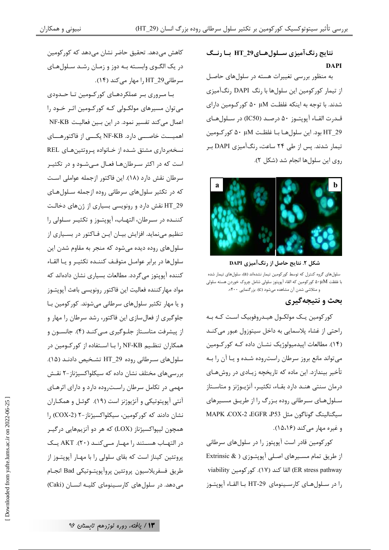# نتایج رنگآمیزی ســلول(هـای29\_HT بـا رنــگ **DAPI**

به منظور بررسی تغییرات هسته در سلولهای حاصل از تیمار کورکومین این سلولها با رنگ DAPI رنگآمیزی شدند. با توجه به اینکه غلظت ۵۰ µM کور *کـ*ومین دارای قـدرت القــاء آيويتــوز ۵۰ درصـد (IC50) در ســلولهــاي HT\_29 بود. این سلول هـا بـا غلظـت α٠ μM كوركـومين تیمار شدند. پس از طی ۲۴ ساعت، رنگ آمیزی DAPI ب روى اين سلول ها انجام شد (شكل ٢).



شکل ۲. نتایج حاصل از رنگ آمیزی DAPI

سلولهای گروه کنترل که توسط کورکومین تیمار نشدهاند (a)، سلولهای تیمار شده با غلظت ۵۰μM کور کومین که القاء آپوپتوز سلولی شامل چروک خوردن هسته سلولی و متلاشی شدن آن مشاهده میشود (C). بزرگنمایی ۴۰۰×

## بحث و نتيجهگيري

کور کومین یـک مولکــول هیــدروفوبیک اسـت کــه بــه راحتی از غشاء پلاسمایی به داخل سیتوزول عبور می کنـد (۱۴). مطالعات اپیدمیولوژیک نشـان داده کـه کورکـومین می تواند مانع بروز سرطان راست,وده شـده و یـا آن را بـه تأخیر بیندازد. این ماده که تاریخچه زیـادی در روشهـای درمان سنتی هنـد دارد بقـاء، تكثيـر، آنژيـوژنز و متاسـتاز سلول های سرطانی روده بـزرگ را از طریـق مسـیرهای سيگنالينگ گوناگون مثل MAPK ،COX-2 ،EGFR ،P53 و غيره مهار مي كند (١۵،١۶).

کورکومین قادر است آپوپتوز را در سلولهای سرطانی از طریق تمام مسیرهای اصلی آپوپتوزی ( Extrinsic & viability) القا كند (١٧). كور كومين viability را در سـلولهـاي كارسـينوماي HT-29 بـا القـاء آپوپتـوز

کاهش میدهد. تحقیق حاضر نشان می دهد که کور کومین در یک الگـوي وابسـته بـه دوز و زمـان رشـد سـلولهـاي سرطاني HT\_29, ا مهار مي كند (١۴).

بـا مـروري بـر عملكردهـاي كوركـومين تـا حـدودي می توان مسیرهای مولکـولی کـه کورکـومین اثـر خـود را اعمال می کند تفسیر نمود. در این بـین فعالیـت NF-KB اهمیست خاصـــی دارد. NF-KB یکـــی از فاکتورهـــای نسخهبرداری مشتق شده از خـانواده پـروتئینهـای REL است که در اکثر سـرطانهـا فعـال مـیشـود و در تکثیـر سرطان نقش دارد (١٨). این فاکتور ازجمله عواملی است که در تکثیر سلولهای سرطانی روده ازجمله سـلولهـای HT\_29 نقش دارد و رونویسی بسیاری از ژنهای دخالت كننـده در سـرطان، التهـاب، آپوپتـوز و تكثيـر سـلولى ١٫ تنظیم می،نماید. افزایش بیـان ایـن فـاکتور در بسـیاری از سلولهای روده دیده میشود که منجر به مقاوم شدن این سلول ها در برابر عوامـل متوقـف كننـده تكثيـر و يـا القـاء کننده آپوپتوز میگردد. مطالعات بسیاری نشان دادهاند که مواد مهاركننده فعاليت اين فاكتور رونويسي باعث آيويتـوز و یا مهار تکثیر سلولهای سرطانی می شوند. کور کومین با جلوگیری از فعال سازی این فاکتور، رشد سرطان را مهار و از پیشرفت متاسـتاز جلـوگیری مـی کنـد (۴). جانسـون و همکاران تنظیم NF-KB را بـا اسـتفاده از کورکـومین در سلول های سـرطانی روده HT\_29 تشـخیص دادنـد (۱۵). بررسی های مختلف نشان داده که سیکلواکسیژناز -۲ نقــش مهمی در تکامل سرطان راست روده دارد و دارای اثرهـای آنتی آپوپتوتیکی و آنژیوژنز است (۱۹). گوئـل و همکـاران نشان دادند که کورکومین، سیکلواکسیژناز-۲ (COX-2) را همچون لیپواکسیژناز (LOX) که هر دو آنزیمهایی درگیـر در التهـاب هسـتند را مهـار مـى كنـد (٢٠). AKT يـك پروتئین کیناز است که بقای سلولی را با مهـار آپوپتـوز از طريق فسفريلاسيون پروتئين پروآپوپتـوتيكي Bad انجـام می دهد. در سلولهای کارسینومای کلیـه انسـان (Caki)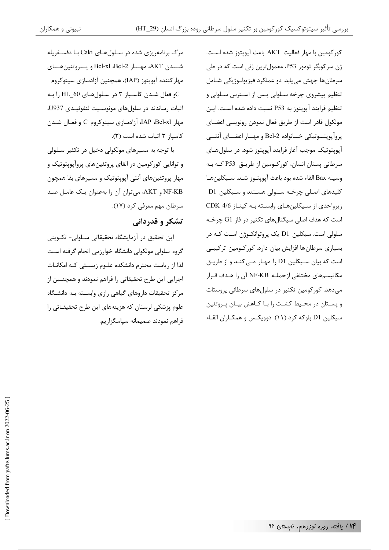كور كومين با مهار فعاليت AKT باعث آپويتوز شده اسـت. ژن سرکوبگر تومور P53، معمولترین ژنی است که در طی سرطان ها جهش مي يابد. دو عملكرد فيزيولـوژيكي شـامل تنظیم پیشروی چرخه سـلولی پـس از اسـترس سـلولی و تنظيم فرايند آپوپتوز به P53 نسبت داده شده است. ايـن مولکول قادر است از طريق فعال نمودن رونويسي اعضاى پروآپوپتـوتیکی خــانواده Bcl-2 و مهــار اعضــای آنتــی آپوپتوتیک موجب آغاز فرایند آپوپتوز شود. در سلولهـای سرطانی پستان انسان، کورکومین از طریـق P53 کـه بـه وسيله Bax القاء شده بود باعث آپوپتـوز شـد. سـيكلينهـا کلیدهای اصلی چرخه سلولی هستند و سیکلین D1 زیرواحدی از سیکلین های وابسته بـه کینـاز CDK 4/6 است که هدف اصلی سیگنالهای تکثیر در فاز G1 چرخـه سلولی است. سیکلین D1 یک پروتوانکـوژن اسـت کـه در بسیاری سرطان ها افزایش بیان دارد. کورکومین ترکیبی است که بیان سیکلین D1 را مهـار مـی کنـد و از طریـق مكانيسمهاى مختلفى ازجملـه NF-KB آن را هـدف قـرار میدهد. کورکومین تکثیر در سلولهای سرطانی پروستات و پستان در محیط کشت را با کـاهش بیـان پـروتئین سيكلين D1 بلوكه كرد (١١). دوويكس و همكـاران القـاء

مرگ برنامهریزی شده در سلول Caki با دفسفریله شـــدن AKT، مهـــار Bcl-xl ،Bcl-2، و پـــروتئينهـــاي مهاركننده آپوپتوز (IAP)، همچنين آزادسازي سيتوكروم 0و فعال شدن كاسپاز ٣ در سلولهاى HL\_60 را به اثبات رساندند در سلول های مونوسیت لنفوئیـدی U937، مهار JAP ،Bcl-xl، آزادسازی سیتوکروم C و فعـال شـدن كاسياز ٣ اثبات شده است (٣).

با توجه به مسیرهای مولکولی دخیل در تکثیر سلولی و توانایی کورکومین در القای پروتئینهای پروآپوپتوتیک و مهار پروتئینهای آنتی آپوپتوتیک و مسیرهای بقا همچون NF-KB و AKT، می توان آن را به عنوان یک عامل ضد سرطان مهم معرفی کرد (١٧).

# تشکر و قدردانی

این تحقیق در آزمایشگاه تحقیقاتی سلولی- تکـوینی گروه سلولی مولکولی دانشگاه خوارزمی انجام گرفته است لذا از ریاست محترم دانشکده علـوم زیسـتی کـه امکانـات اجرایی این طرح تحقیقاتی را فراهم نمودند و همچنـین از مرکز تحقیقات داروهای گیاهی رازی وابسته بـه دانشـگاه علوم پزشکی لرستان که هزینههای این طرح تحقیقـاتی را فراهم نمودند صميمانه سياسگزاريم.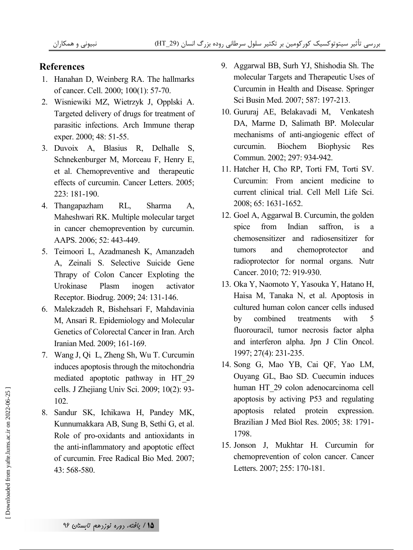## **References**

- 1. Hanahan D, Weinberg RA. The hallmarks of cancer. Cell. 2000; 100(1): 57-70.
- 2. Wisniewiki MZ, Wietrzyk J, Opplski A. Targeted delivery of drugs for treatment of parasitic infections. Arch Immune therap exper. 2000; 48: 51-55.
- 3. Duvoix A, Blasius R, Delhalle S, Schnekenburger M, Morceau F, Henry E, et al. Chemopreventive and therapeutic effects of curcumin. Cancer Letters. 2005; 223: 181-190.
- 4. Thangapazham RL, Sharma A, Maheshwari RK. Multiple molecular target in cancer chemoprevention by curcumin. AAPS. 2006; 52: 443-449.
- 5. Teimoori L, Azadmanesh K, Amanzadeh A, Zeinali S. Selective Suicide Gene Thrapy of Colon Cancer Exploting the Urokinase Plasm inogen activator Receptor. Biodrug. 2009; 24: 131-146.
- 6. Malekzadeh R, Bishehsari F, Mahdavinia M, Ansari R. Epidemiology and Molecular Genetics of Colorectal Cancer in Iran. Arch Iranian Med. 2009; 161-169.
- 7. Wang J, Qi L, Zheng Sh, Wu T. Curcumin induces apoptosis through the mitochondria mediated apoptotic pathway in HT\_29 cells. J Zhejiang Univ Sci. 2009; 10(2): 93- 102.
- 8. Sandur SK, Ichikawa H, Pandey MK, Kunnumakkara AB, Sung B, Sethi G, et al. Role of pro-oxidants and antioxidants in the anti-inflammatory and apoptotic effect of curcumin. Free Radical Bio Med. 2007; 43: 568-580.
- 9. Aggarwal BB, Surh YJ, Shishodia Sh. The molecular Targets and Therapeutic Uses of Curcumin in Health and Disease. Springer Sci Busin Med. 2007; 587: 197-213.
- 10. Gururaj AE, Belakavadi M, Venkatesh DA, Marme D, Salimath BP. Molecular mechanisms of anti-angiogenic effect of curcumin. Biochem Biophysic Res Commun. 2002; 297: 934-942.
- 11. Hatcher H, Cho RP, Torti FM, Torti SV. Curcumin: From ancient medicine to current clinical trial. Cell Mell Life Sci. 2008; 65: 1631-1652.
- 12. Goel A, Aggarwal B. Curcumin, the golden spice from Indian saffron, is a chemosensitizer and radiosensitizer for tumors and chemoprotector and radioprotector for normal organs. Nutr Cancer. 2010; 72: 919-930.
- 13. Oka Y, Naomoto Y, Yasouka Y, Hatano H, Haisa M, Tanaka N, et al. Apoptosis in cultured human colon cancer cells indused by combined treatments with 5 fluorouracil, tumor necrosis factor alpha and interferon alpha. Jpn J Clin Oncol. 1997; 27(4): 231-235.
- 14. Song G, Mao YB, Cai QF, Yao LM, Ouyang GL, Bao SD. Cuecumin induces human HT\_29 colon adenocarcinoma cell apoptosis by activing P53 and regulating apoptosis related protein expression. Brazilian J Med Biol Res. 2005; 38: 1791- 1798.
- 15. Jonson J, Mukhtar H. Curcumin for chemoprevention of colon cancer. Cancer Letters. 2007; 255: 170-181.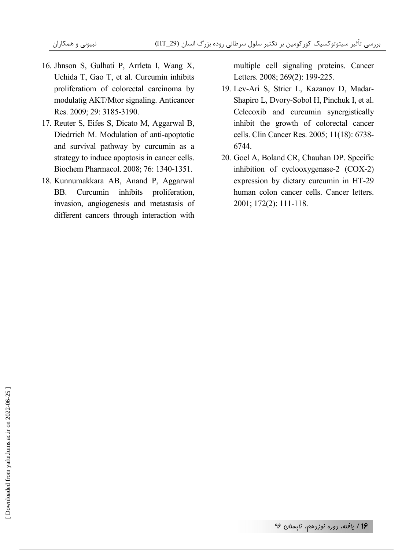- 16. Jhnson S, Gulhati P, Arrleta I, Wang X, Uchida T, Gao T, et al. Curcumin inhibits proliferatiom of colorectal carcinoma by modulatig AKT/Mtor signaling. Anticancer Res. 2009; 29: 3185-3190.
- 17. Reuter S, Eifes S, Dicato M, Aggarwal B, Diedrrich M. Modulation of anti-apoptotic and survival pathway by curcumin as a strategy to induce apoptosis in cancer cells. Biochem Pharmacol. 2008; 76: 1340-1351.
- 18. Kunnumakkara AB, Anand P, Aggarwal BB. Curcumin inhibits proliferation, invasion, angiogenesis and metastasis of different cancers through interaction with

multiple cell signaling proteins. Cancer Letters. 2008; 269(2): 199-225.

- 19. Lev-Ari S, Strier L, Kazanov D, Madar-Shapiro L, Dvory-Sobol H, Pinchuk I, et al. Celecoxib and curcumin synergistically inhibit the growth of colorectal cancer cells. Clin Cancer Res. 2005; 11(18): 6738- 6744.
- 20. Goel A, Boland CR, Chauhan DP. Specific inhibition of cyclooxygenase-2 (COX-2) expression by dietary curcumin in HT-29 human colon cancer cells. Cancer letters. 2001; 172(2): 111-118.